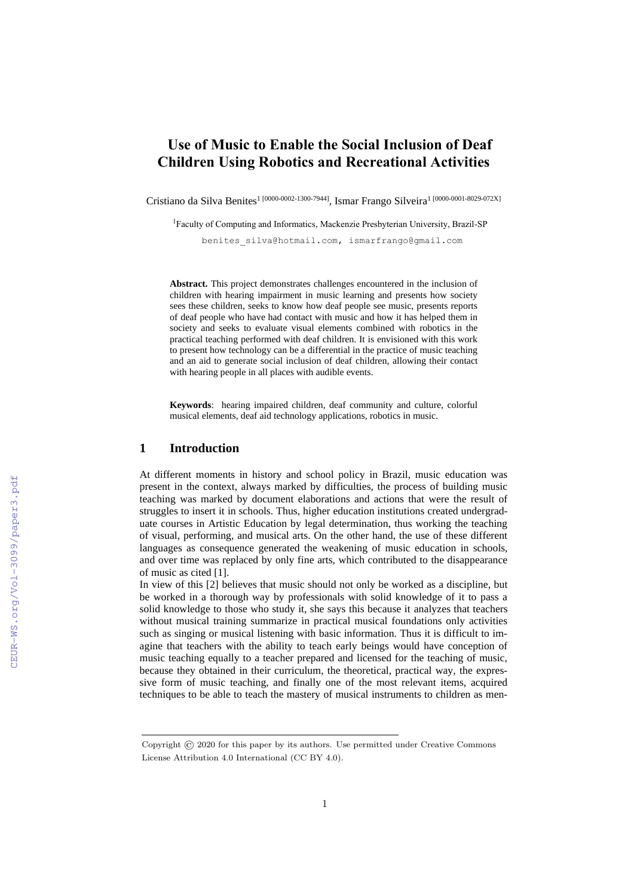# **Use of Music to Enable the Social Inclusion of Deaf Children Using Robotics and Recreational Activities**

Cristiano da Silva Benites<sup>1 [0000-0002-1300-7944]</sup>, Ismar Frango Silveira<sup>1 [0000-0001-8029-072X]</sup>

<sup>1</sup>Faculty of Computing and Informatics, Mackenzie Presbyterian University, Brazil-SP

benites\_silva@hotmail.com, ismarfrango@gmail.com

**Abstract.** This project demonstrates challenges encountered in the inclusion of children with hearing impairment in music learning and presents how society sees these children, seeks to know how deaf people see music, presents reports of deaf people who have had contact with music and how it has helped them in society and seeks to evaluate visual elements combined with robotics in the practical teaching performed with deaf children. It is envisioned with this work to present how technology can be a differential in the practice of music teaching and an aid to generate social inclusion of deaf children, allowing their contact with hearing people in all places with audible events.

**Keywords**: hearing impaired children, deaf community and culture, colorful musical elements, deaf aid technology applications, robotics in music.

### **1 Introduction**

At different moments in history and school policy in Brazil, music education was present in the context, always marked by difficulties, the process of building music teaching was marked by document elaborations and actions that were the result of struggles to insert it in schools. Thus, higher education institutions created undergraduate courses in Artistic Education by legal determination, thus working the teaching of visual, performing, and musical arts. On the other hand, the use of these different languages as consequence generated the weakening of music education in schools, and over time was replaced by only fine arts, which contributed to the disappearance of music as cited [1].

In view of this [2] believes that music should not only be worked as a discipline, but be worked in a thorough way by professionals with solid knowledge of it to pass a solid knowledge to those who study it, she says this because it analyzes that teachers without musical training summarize in practical musical foundations only activities such as singing or musical listening with basic information. Thus it is difficult to imagine that teachers with the ability to teach early beings would have conception of music teaching equally to a teacher prepared and licensed for the teaching of music, because they obtained in their curriculum, the theoretical, practical way, the expressive form of music teaching, and finally one of the most relevant items, acquired techniques to be able to teach the mastery of musical instruments to children as men-

Copyright © 2020 for this paper by its authors. Use permitted under Creative Commons License Attribution 4.0 International (CC BY 4.0).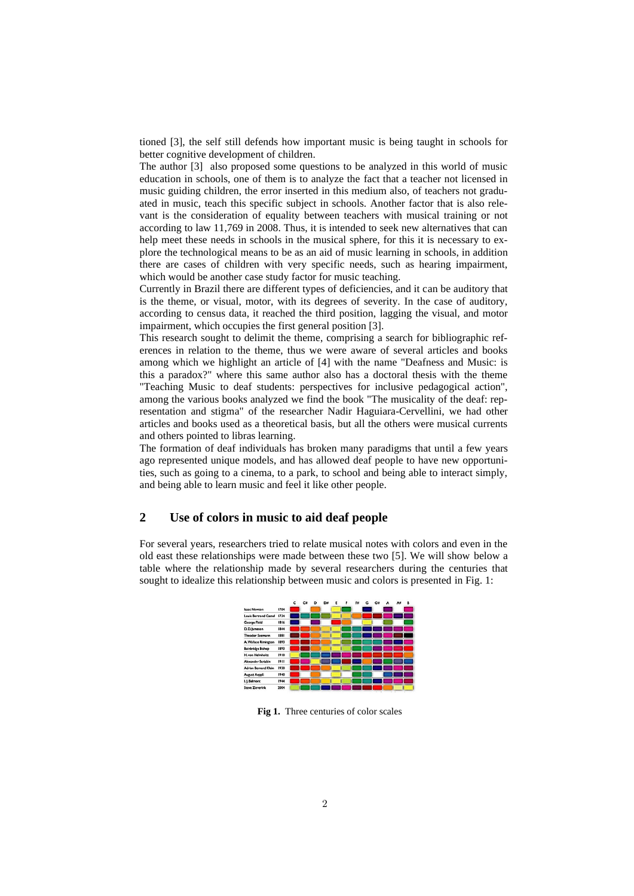tioned [3], the self still defends how important music is being taught in schools for better cognitive development of children.

The author [3] also proposed some questions to be analyzed in this world of music education in schools, one of them is to analyze the fact that a teacher not licensed in music guiding children, the error inserted in this medium also, of teachers not graduated in music, teach this specific subject in schools. Another factor that is also relevant is the consideration of equality between teachers with musical training or not according to law 11,769 in 2008. Thus, it is intended to seek new alternatives that can help meet these needs in schools in the musical sphere, for this it is necessary to explore the technological means to be as an aid of music learning in schools, in addition there are cases of children with very specific needs, such as hearing impairment, which would be another case study factor for music teaching.

Currently in Brazil there are different types of deficiencies, and it can be auditory that is the theme, or visual, motor, with its degrees of severity. In the case of auditory, according to census data, it reached the third position, lagging the visual, and motor impairment, which occupies the first general position [3].

This research sought to delimit the theme, comprising a search for bibliographic references in relation to the theme, thus we were aware of several articles and books among which we highlight an article of [4] with the name "Deafness and Music: is this a paradox?" where this same author also has a doctoral thesis with the theme "Teaching Music to deaf students: perspectives for inclusive pedagogical action", among the various books analyzed we find the book "The musicality of the deaf: representation and stigma" of the researcher Nadir Haguiara-Cervellini, we had other articles and books used as a theoretical basis, but all the others were musical currents and others pointed to libras learning.

The formation of deaf individuals has broken many paradigms that until a few years ago represented unique models, and has allowed deaf people to have new opportunities, such as going to a cinema, to a park, to school and being able to interact simply, and being able to learn music and feel it like other people.

## **2 Use of colors in music to aid deaf people**

For several years, researchers tried to relate musical notes with colors and even in the old east these relationships were made between these two [5]. We will show below a table where the relationship made by several researchers during the centuries that sought to idealize this relationship between music and colors is presented in Fig. 1:



**Fig 1.** Three centuries of color scales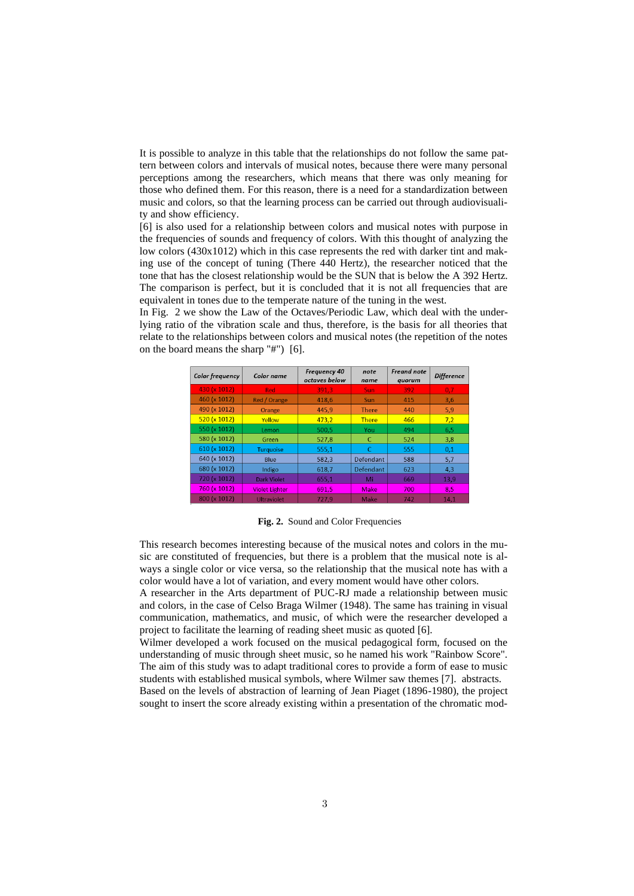It is possible to analyze in this table that the relationships do not follow the same pattern between colors and intervals of musical notes, because there were many personal perceptions among the researchers, which means that there was only meaning for those who defined them. For this reason, there is a need for a standardization between music and colors, so that the learning process can be carried out through audiovisuality and show efficiency.

[6] is also used for a relationship between colors and musical notes with purpose in the frequencies of sounds and frequency of colors. With this thought of analyzing the low colors (430x1012) which in this case represents the red with darker tint and making use of the concept of tuning (There 440 Hertz), the researcher noticed that the tone that has the closest relationship would be the SUN that is below the A 392 Hertz. The comparison is perfect, but it is concluded that it is not all frequencies that are equivalent in tones due to the temperate nature of the tuning in the west.

In Fig. 2 we show the Law of the Octaves/Periodic Law, which deal with the underlying ratio of the vibration scale and thus, therefore, is the basis for all theories that relate to the relationships between colors and musical notes (the repetition of the notes on the board means the sharp "#") [6].

| <b>Color frequency</b> | Color name            | <b>Frequency 40</b><br>octaves below | note<br>name | <b>Freand note</b><br>quorum | <b>Difference</b> |
|------------------------|-----------------------|--------------------------------------|--------------|------------------------------|-------------------|
| 430 (x 1012)           | <b>Red</b>            | 391,3                                | <b>Sun</b>   | 392                          | 0,7               |
| 460 (x 1012)           | Red / Orange          | 418.6                                | Sun          | 415                          | 3,6               |
| 490 (x 1012)           | Orange                | 445.9                                | <b>There</b> | 440                          | 5,9               |
| 520 (x 1012)           | Yellow                | 473.2                                | <b>There</b> | 466                          | 7,2               |
| 550 (x 1012)           | Lemon                 | 500.5                                | You          | 494                          | 6,5               |
| 580 (x 1012)           | Green                 | 527,8                                | C            | 524                          | 3,8               |
| 610 (x 1012)           | <b>Turquoise</b>      | 555,1                                | C            | 555                          | 0,1               |
| 640 (x 1012)           | Blue                  | 582,3                                | Defendant    | 588                          | 5,7               |
| 680 (x 1012)           | Indigo                | 618,7                                | Defendant    | 623                          | 4,3               |
| 720 (x 1012)           | <b>Dark Violet</b>    | 655,1                                | Mi           | 669                          | 13,9              |
| 760 (x 1012)           | <b>Violet Lighter</b> | 691,5                                | Make         | 700                          | 8,5               |
| 800 (x 1012)           | <b>Ultraviolet</b>    | 727,9                                | Make         | 742                          | 14,1              |

**Fig. 2.** Sound and Color Frequencies

This research becomes interesting because of the musical notes and colors in the music are constituted of frequencies, but there is a problem that the musical note is always a single color or vice versa, so the relationship that the musical note has with a color would have a lot of variation, and every moment would have other colors.

A researcher in the Arts department of PUC-RJ made a relationship between music and colors, in the case of Celso Braga Wilmer (1948). The same has training in visual communication, mathematics, and music, of which were the researcher developed a project to facilitate the learning of reading sheet music as quoted [6].

Wilmer developed a work focused on the musical pedagogical form, focused on the understanding of music through sheet music, so he named his work "Rainbow Score". The aim of this study was to adapt traditional cores to provide a form of ease to music students with established musical symbols, where Wilmer saw themes [7]. abstracts. Based on the levels of abstraction of learning of Jean Piaget (1896-1980), the project

sought to insert the score already existing within a presentation of the chromatic mod-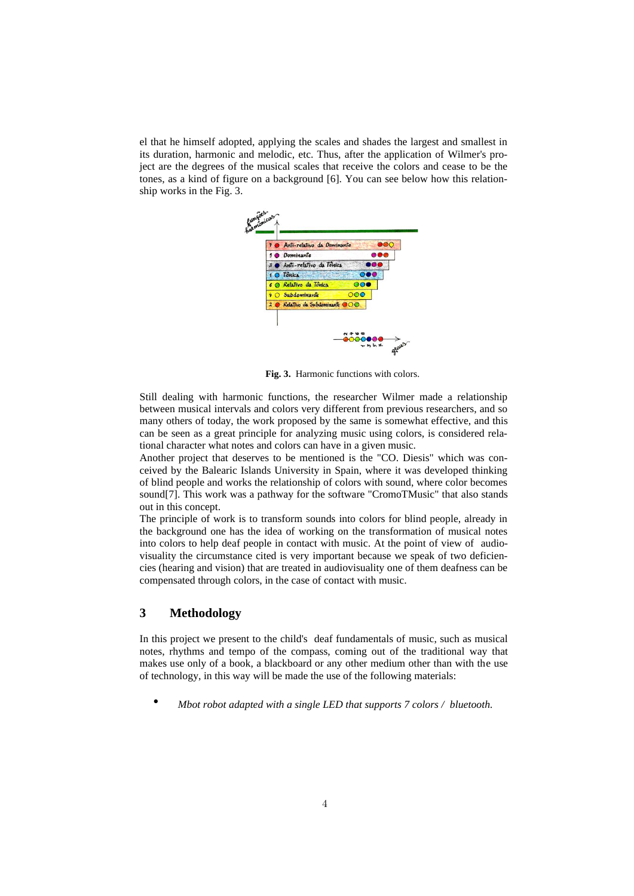el that he himself adopted, applying the scales and shades the largest and smallest in its duration, harmonic and melodic, etc. Thus, after the application of Wilmer's project are the degrees of the musical scales that receive the colors and cease to be the tones, as a kind of figure on a background [6]. You can see below how this relationship works in the Fig. 3.



**Fig. 3.** Harmonic functions with colors.

Still dealing with harmonic functions, the researcher Wilmer made a relationship between musical intervals and colors very different from previous researchers, and so many others of today, the work proposed by the same is somewhat effective, and this can be seen as a great principle for analyzing music using colors, is considered relational character what notes and colors can have in a given music.

Another project that deserves to be mentioned is the "CO. Diesis" which was conceived by the Balearic Islands University in Spain, where it was developed thinking of blind people and works the relationship of colors with sound, where color becomes sound[7]. This work was a pathway for the software "CromoTMusic" that also stands out in this concept.

The principle of work is to transform sounds into colors for blind people, already in the background one has the idea of working on the transformation of musical notes into colors to help deaf people in contact with music. At the point of view of audiovisuality the circumstance cited is very important because we speak of two deficiencies (hearing and vision) that are treated in audiovisuality one of them deafness can be compensated through colors, in the case of contact with music.

# **3 Methodology**

In this project we present to the child's deaf fundamentals of music, such as musical notes, rhythms and tempo of the compass, coming out of the traditional way that makes use only of a book, a blackboard or any other medium other than with the use of technology, in this way will be made the use of the following materials:

• *Mbot robot adapted with a single LED that supports 7 colors / bluetooth.*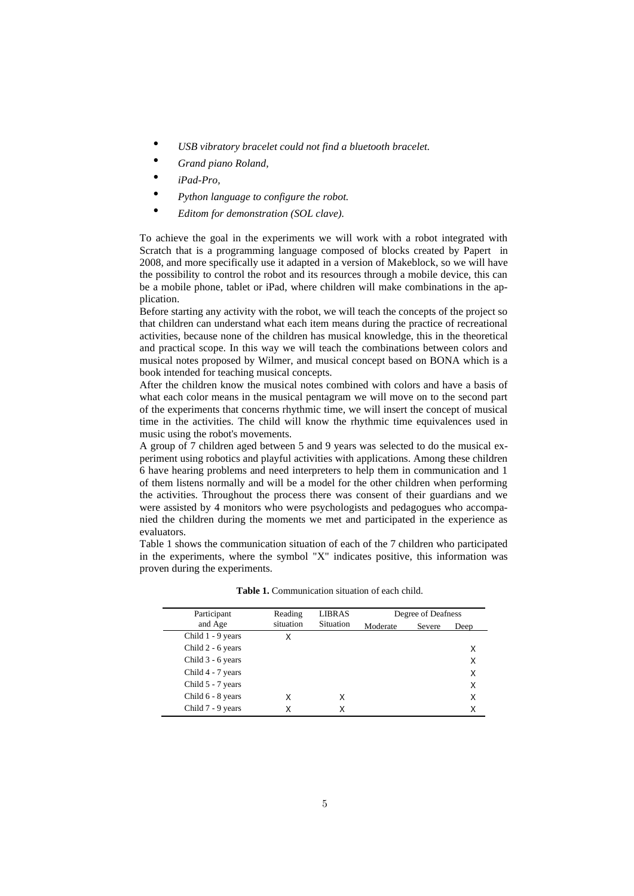- *USB vibratory bracelet could not find a bluetooth bracelet.*
- *Grand piano Roland,*
- *iPad-Pro,*
- *Python language to configure the robot.*
- *Editom for demonstration (SOL clave).*

To achieve the goal in the experiments we will work with a robot integrated with Scratch that is a programming language composed of blocks created by Papert in 2008, and more specifically use it adapted in a version of Makeblock, so we will have the possibility to control the robot and its resources through a mobile device, this can be a mobile phone, tablet or iPad, where children will make combinations in the application.

Before starting any activity with the robot, we will teach the concepts of the project so that children can understand what each item means during the practice of recreational activities, because none of the children has musical knowledge, this in the theoretical and practical scope. In this way we will teach the combinations between colors and musical notes proposed by Wilmer, and musical concept based on BONA which is a book intended for teaching musical concepts.

After the children know the musical notes combined with colors and have a basis of what each color means in the musical pentagram we will move on to the second part of the experiments that concerns rhythmic time, we will insert the concept of musical time in the activities. The child will know the rhythmic time equivalences used in music using the robot's movements.

A group of 7 children aged between 5 and 9 years was selected to do the musical experiment using robotics and playful activities with applications. Among these children 6 have hearing problems and need interpreters to help them in communication and 1 of them listens normally and will be a model for the other children when performing the activities. Throughout the process there was consent of their guardians and we were assisted by 4 monitors who were psychologists and pedagogues who accompanied the children during the moments we met and participated in the experience as evaluators.

Table 1 shows the communication situation of each of the 7 children who participated in the experiments, where the symbol "X" indicates positive, this information was proven during the experiments.

| Participant       | Reading<br>situation | <b>LIBRAS</b><br>Situation | Degree of Deafness |        |      |
|-------------------|----------------------|----------------------------|--------------------|--------|------|
| and Age           |                      |                            | Moderate           | Severe | Deep |
| Child 1 - 9 years | X                    |                            |                    |        |      |
| Child 2 - 6 years |                      |                            |                    |        | X    |
| Child 3 - 6 years |                      |                            |                    |        | X    |
| Child 4 - 7 years |                      |                            |                    |        | X    |
| Child 5 - 7 years |                      |                            |                    |        | X    |
| Child 6 - 8 years | Χ                    | X                          |                    |        | X    |
| Child 7 - 9 years |                      | X                          |                    |        | Χ    |

**Table 1.** Communication situation of each child.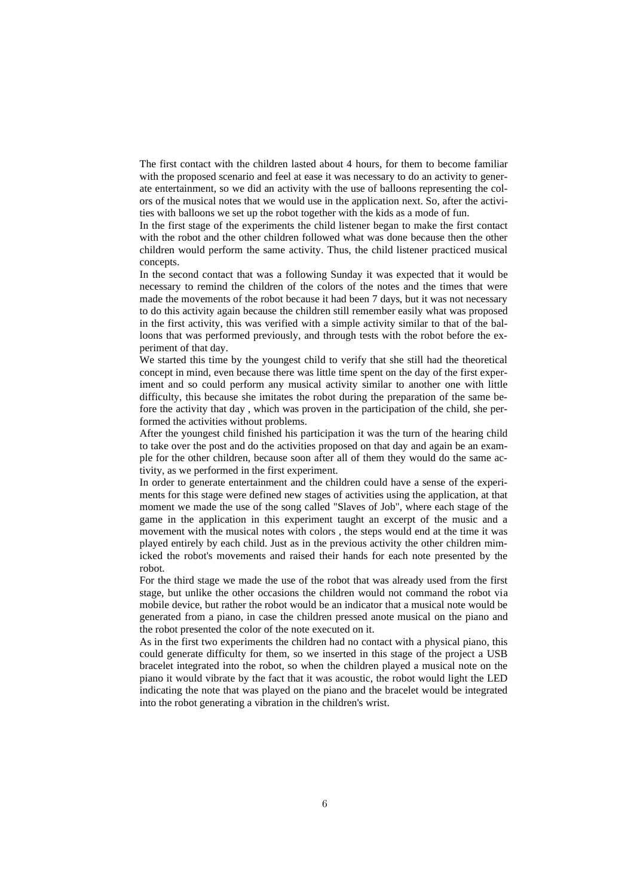The first contact with the children lasted about 4 hours, for them to become familiar with the proposed scenario and feel at ease it was necessary to do an activity to generate entertainment, so we did an activity with the use of balloons representing the colors of the musical notes that we would use in the application next. So, after the activities with balloons we set up the robot together with the kids as a mode of fun.

In the first stage of the experiments the child listener began to make the first contact with the robot and the other children followed what was done because then the other children would perform the same activity. Thus, the child listener practiced musical concepts.

In the second contact that was a following Sunday it was expected that it would be necessary to remind the children of the colors of the notes and the times that were made the movements of the robot because it had been 7 days, but it was not necessary to do this activity again because the children still remember easily what was proposed in the first activity, this was verified with a simple activity similar to that of the balloons that was performed previously, and through tests with the robot before the experiment of that day.

We started this time by the youngest child to verify that she still had the theoretical concept in mind, even because there was little time spent on the day of the first experiment and so could perform any musical activity similar to another one with little difficulty, this because she imitates the robot during the preparation of the same before the activity that day , which was proven in the participation of the child, she performed the activities without problems.

After the youngest child finished his participation it was the turn of the hearing child to take over the post and do the activities proposed on that day and again be an example for the other children, because soon after all of them they would do the same activity, as we performed in the first experiment.

In order to generate entertainment and the children could have a sense of the experiments for this stage were defined new stages of activities using the application, at that moment we made the use of the song called "Slaves of Job", where each stage of the game in the application in this experiment taught an excerpt of the music and a movement with the musical notes with colors, the steps would end at the time it was played entirely by each child. Just as in the previous activity the other children mimicked the robot's movements and raised their hands for each note presented by the robot.

For the third stage we made the use of the robot that was already used from the first stage, but unlike the other occasions the children would not command the robot via mobile device, but rather the robot would be an indicator that a musical note would be generated from a piano, in case the children pressed anote musical on the piano and the robot presented the color of the note executed on it.

As in the first two experiments the children had no contact with a physical piano, this could generate difficulty for them, so we inserted in this stage of the project a USB bracelet integrated into the robot, so when the children played a musical note on the piano it would vibrate by the fact that it was acoustic, the robot would light the LED indicating the note that was played on the piano and the bracelet would be integrated into the robot generating a vibration in the children's wrist.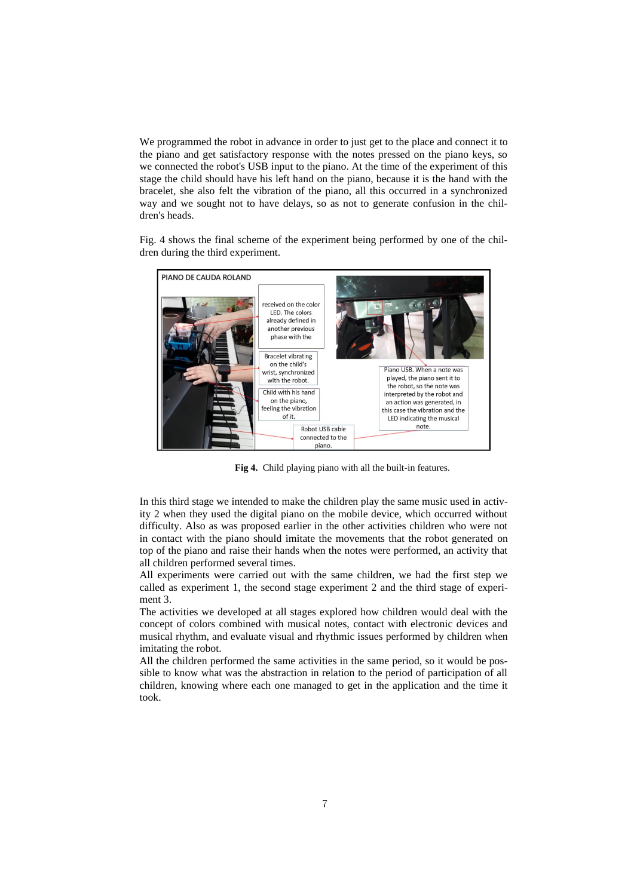We programmed the robot in advance in order to just get to the place and connect it to the piano and get satisfactory response with the notes pressed on the piano keys, so we connected the robot's USB input to the piano. At the time of the experiment of this stage the child should have his left hand on the piano, because it is the hand with the bracelet, she also felt the vibration of the piano, all this occurred in a synchronized way and we sought not to have delays, so as not to generate confusion in the children's heads.

Fig. 4 shows the final scheme of the experiment being performed by one of the children during the third experiment.



**Fig 4.** Child playing piano with all the built-in features.

In this third stage we intended to make the children play the same music used in activity 2 when they used the digital piano on the mobile device, which occurred without difficulty. Also as was proposed earlier in the other activities children who were not in contact with the piano should imitate the movements that the robot generated on top of the piano and raise their hands when the notes were performed, an activity that all children performed several times.

All experiments were carried out with the same children, we had the first step we called as experiment 1, the second stage experiment 2 and the third stage of experiment 3.

The activities we developed at all stages explored how children would deal with the concept of colors combined with musical notes, contact with electronic devices and musical rhythm, and evaluate visual and rhythmic issues performed by children when imitating the robot.

All the children performed the same activities in the same period, so it would be possible to know what was the abstraction in relation to the period of participation of all children, knowing where each one managed to get in the application and the time it took.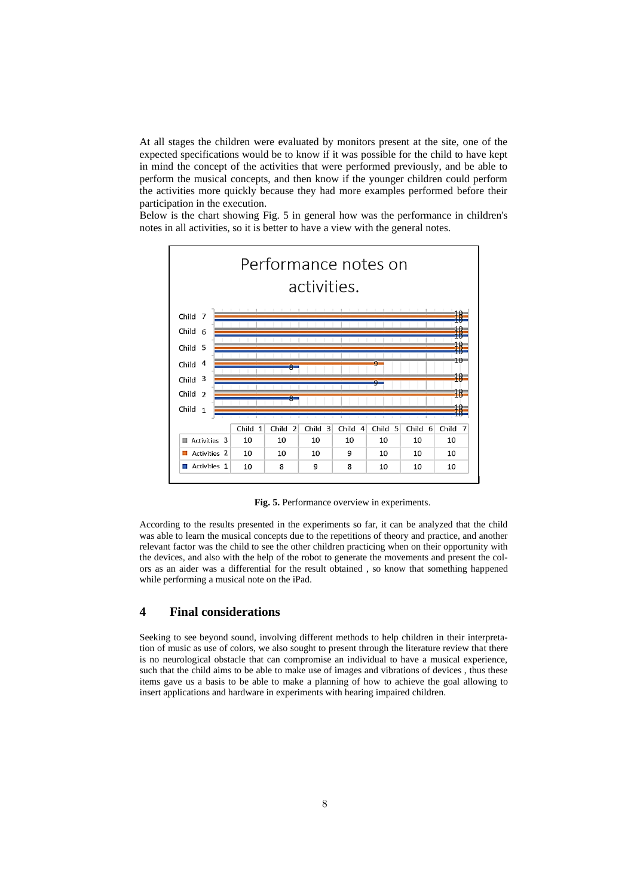At all stages the children were evaluated by monitors present at the site, one of the expected specifications would be to know if it was possible for the child to have kept in mind the concept of the activities that were performed previously, and be able to perform the musical concepts, and then know if the younger children could perform the activities more quickly because they had more examples performed before their participation in the execution.

Below is the chart showing Fig. 5 in general how was the performance in children's notes in all activities, so it is better to have a view with the general notes.



**Fig. 5.** Performance overview in experiments.

According to the results presented in the experiments so far, it can be analyzed that the child was able to learn the musical concepts due to the repetitions of theory and practice, and another relevant factor was the child to see the other children practicing when on their opportunity with the devices, and also with the help of the robot to generate the movements and present the colors as an aider was a differential for the result obtained , so know that something happened while performing a musical note on the iPad.

## **4 Final considerations**

Seeking to see beyond sound, involving different methods to help children in their interpretation of music as use of colors, we also sought to present through the literature review that there is no neurological obstacle that can compromise an individual to have a musical experience, such that the child aims to be able to make use of images and vibrations of devices , thus these items gave us a basis to be able to make a planning of how to achieve the goal allowing to insert applications and hardware in experiments with hearing impaired children.